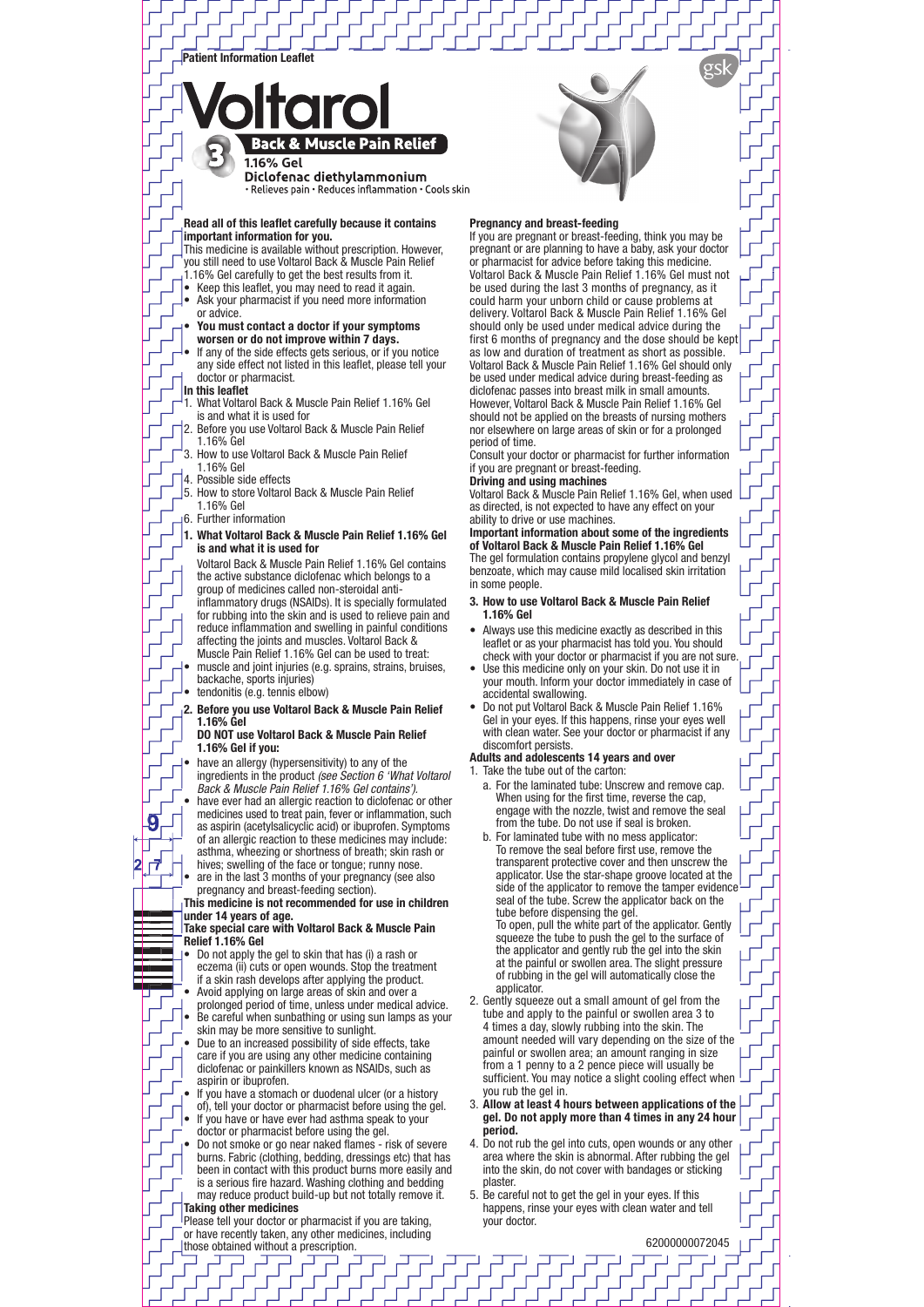